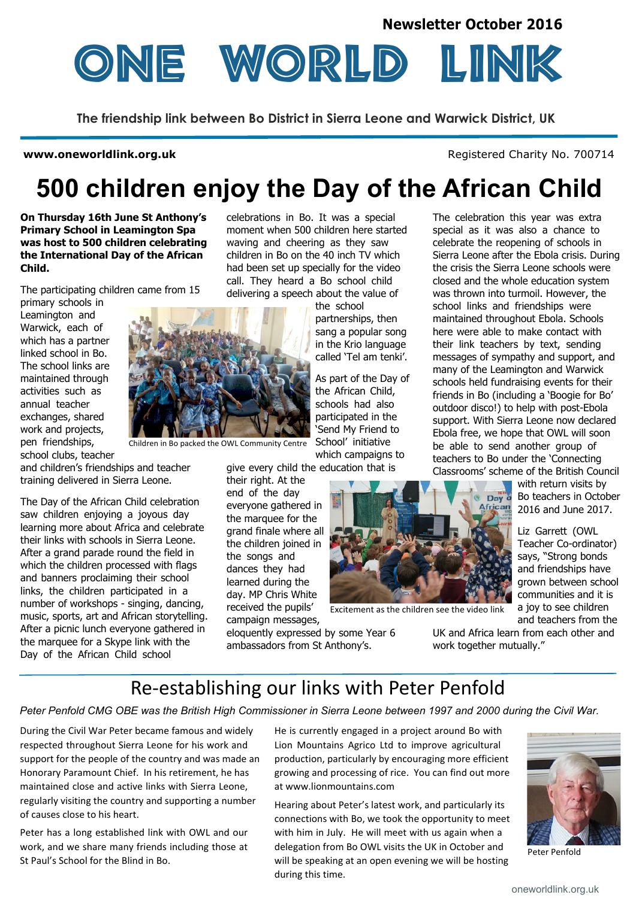

**The friendship link between Bo District in Sierra Leone and Warwick District, UK**

#### **www.oneworldlink.org.uk**

Registered Charity No. 700714

# **500 children enjoy the Day of the African Child**

**On Thursday 16th June St Anthony's Primary School in Leamington Spa was host to 500 children celebrating the International Day of the African Child.**

The participating children came from 15

primary schools in Leamington and Warwick, each of which has a partner linked school in Bo. The school links are maintained through activities such as annual teacher exchanges, shared work and projects, pen friendships, school clubs, teacher

and children's friendships and teacher training delivered in Sierra Leone.

The Day of the African Child celebration saw children enjoying a joyous day learning more about Africa and celebrate their links with schools in Sierra Leone. After a grand parade round the field in which the children processed with flags and banners proclaiming their school links, the children participated in a number of workshops - singing, dancing, music, sports, art and African storytelling. After a picnic lunch everyone gathered in the marquee for a Skype link with the Day of the African Child school

celebrations in Bo. It was a special moment when 500 children here started waving and cheering as they saw children in Bo on the 40 inch TV which had been set up specially for the video call. They heard a Bo school child delivering a speech about the value of

> the school partnerships, then sang a popular song in the Krio language called 'Tel am tenki'.

As part of the Day of the African Child, schools had also participated in the 'Send My Friend to School' initiative which campaigns to

give every child the education that is

their right. At the end of the day everyone gathered in the marquee for the grand finale where all the children joined in the songs and dances they had learned during the day. MP Chris White received the pupils' campaign messages,

Children in Bo packed the OWL Community Centre

eloquently expressed by some Year 6 ambassadors from St Anthony's.

closed and the whole education system was thrown into turmoil. However, the school links and friendships were maintained throughout Ebola. Schools here were able to make contact with their link teachers by text, sending many of the Leamington and Warwick schools held fundraising events for their outdoor disco!) to help with post-Ebola Ebola free, we hope that OWL will soon be able to send another group of teachers to Bo under the 'Connecting

Classrooms' scheme of the British Council with return visits by Day of Bo teachers in October **African** 2016 and June 2017.

> Liz Garrett (OWL Teacher Co-ordinator) says, "Strong bonds and friendships have grown between school communities and it is a joy to see children and teachers from the

UK and Africa learn from each other and work together mutually."

# Re-establishing our links with Peter Penfold

*Peter Penfold CMG OBE was the British High Commissioner in Sierra Leone between 1997 and 2000 during the Civil War.*

During the Civil War Peter became famous and widely respected throughout Sierra Leone for his work and support for the people of the country and was made an Honorary Paramount Chief. In his retirement, he has maintained close and active links with Sierra Leone, regularly visiting the country and supporting a number of causes close to his heart.

Peter has a long established link with OWL and our work, and we share many friends including those at St Paul's School for the Blind in Bo.

He is currently engaged in a project around Bo with Lion Mountains Agrico Ltd to improve agricultural production, particularly by encouraging more efficient growing and processing of rice. You can find out more at www.lionmountains.com

Excitement as the children see the video link

Hearing about Peter's latest work, and particularly its connections with Bo, we took the opportunity to meet with him in July. He will meet with us again when a delegation from Bo OWL visits the UK in October and will be speaking at an open evening we will be hosting during this time.



Peter Penfold

special as it was also a chance to celebrate the reopening of schools in Sierra Leone after the Ebola crisis. During the crisis the Sierra Leone schools were messages of sympathy and support, and friends in Bo (including a 'Boogie for Bo' support. With Sierra Leone now declared

The celebration this year was extra